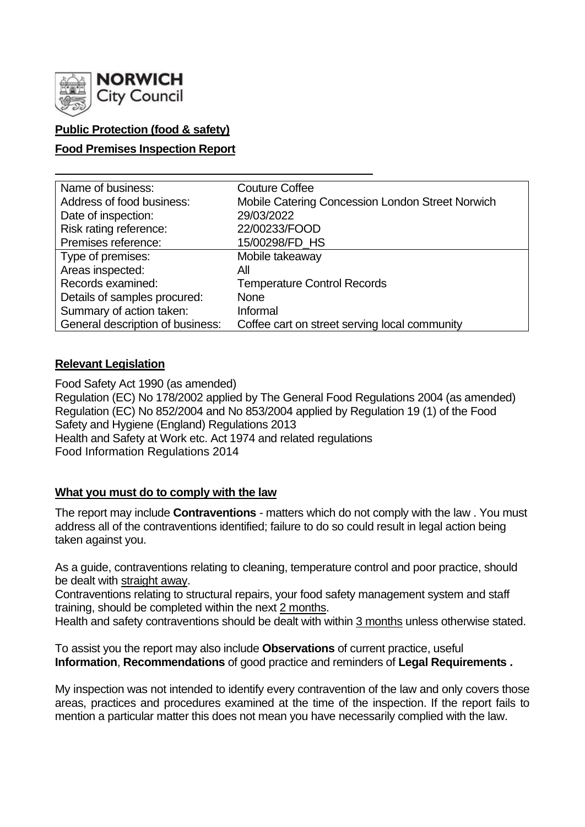

# **Public Protection (food & safety)**

### **Food Premises Inspection Report**

| Name of business:                | <b>Couture Coffee</b>                            |
|----------------------------------|--------------------------------------------------|
| Address of food business:        | Mobile Catering Concession London Street Norwich |
| Date of inspection:              | 29/03/2022                                       |
| Risk rating reference:           | 22/00233/FOOD                                    |
| Premises reference:              | 15/00298/FD_HS                                   |
| Type of premises:                | Mobile takeaway                                  |
| Areas inspected:                 | Αll                                              |
| Records examined:                | <b>Temperature Control Records</b>               |
| Details of samples procured:     | <b>None</b>                                      |
| Summary of action taken:         | Informal                                         |
| General description of business: | Coffee cart on street serving local community    |

#### **Relevant Legislation**

Food Safety Act 1990 (as amended) Regulation (EC) No 178/2002 applied by The General Food Regulations 2004 (as amended) Regulation (EC) No 852/2004 and No 853/2004 applied by Regulation 19 (1) of the Food Safety and Hygiene (England) Regulations 2013 Health and Safety at Work etc. Act 1974 and related regulations Food Information Regulations 2014

#### **What you must do to comply with the law**

The report may include **Contraventions** - matters which do not comply with the law . You must address all of the contraventions identified; failure to do so could result in legal action being taken against you.

As a guide, contraventions relating to cleaning, temperature control and poor practice, should be dealt with straight away.

Contraventions relating to structural repairs, your food safety management system and staff training, should be completed within the next 2 months.

Health and safety contraventions should be dealt with within 3 months unless otherwise stated.

To assist you the report may also include **Observations** of current practice, useful **Information**, **Recommendations** of good practice and reminders of **Legal Requirements .**

My inspection was not intended to identify every contravention of the law and only covers those areas, practices and procedures examined at the time of the inspection. If the report fails to mention a particular matter this does not mean you have necessarily complied with the law.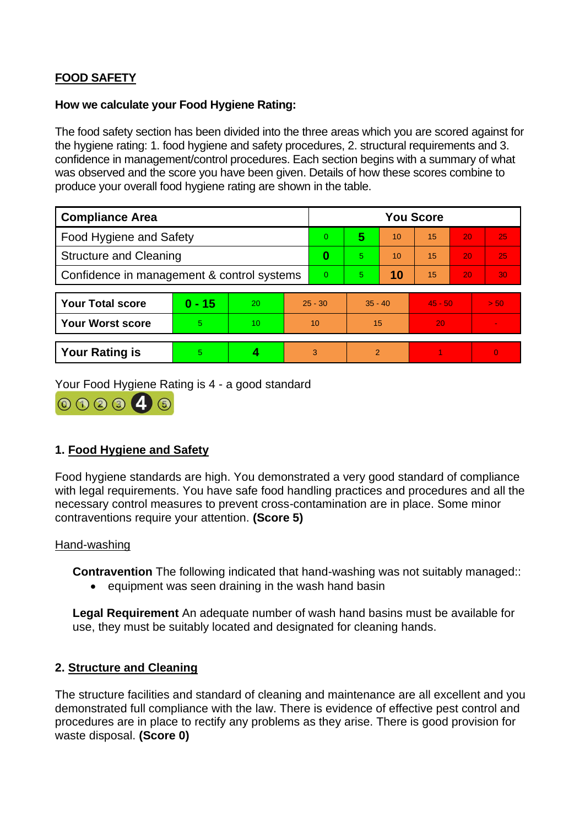# **FOOD SAFETY**

### **How we calculate your Food Hygiene Rating:**

The food safety section has been divided into the three areas which you are scored against for the hygiene rating: 1. food hygiene and safety procedures, 2. structural requirements and 3. confidence in management/control procedures. Each section begins with a summary of what was observed and the score you have been given. Details of how these scores combine to produce your overall food hygiene rating are shown in the table.

| <b>Compliance Area</b>                     |          |    |                | <b>You Score</b> |           |    |           |    |          |  |
|--------------------------------------------|----------|----|----------------|------------------|-----------|----|-----------|----|----------|--|
| <b>Food Hygiene and Safety</b>             |          |    |                | 0                | 5         | 10 | 15        | 20 | 25       |  |
| <b>Structure and Cleaning</b>              |          |    | 0              | 5                | 10        | 15 | 20        | 25 |          |  |
| Confidence in management & control systems |          |    | $\overline{0}$ | 5                | 10        | 15 | 20        | 30 |          |  |
|                                            |          |    |                |                  |           |    |           |    |          |  |
| <b>Your Total score</b>                    | $0 - 15$ | 20 | $25 - 30$      |                  | $35 - 40$ |    | $45 - 50$ |    | > 50     |  |
| <b>Your Worst score</b>                    | 5        | 10 | 10             |                  | 15        |    | 20        |    |          |  |
|                                            |          |    |                |                  |           |    |           |    |          |  |
| <b>Your Rating is</b>                      | 5        |    |                | 3                | 2         |    |           |    | $\Omega$ |  |

Your Food Hygiene Rating is 4 - a good standard



# **1. Food Hygiene and Safety**

Food hygiene standards are high. You demonstrated a very good standard of compliance with legal requirements. You have safe food handling practices and procedures and all the necessary control measures to prevent cross-contamination are in place. Some minor contraventions require your attention. **(Score 5)**

#### Hand-washing

**Contravention** The following indicated that hand-washing was not suitably managed::

• equipment was seen draining in the wash hand basin

**Legal Requirement** An adequate number of wash hand basins must be available for use, they must be suitably located and designated for cleaning hands.

# **2. Structure and Cleaning**

The structure facilities and standard of cleaning and maintenance are all excellent and you demonstrated full compliance with the law. There is evidence of effective pest control and procedures are in place to rectify any problems as they arise. There is good provision for waste disposal. **(Score 0)**